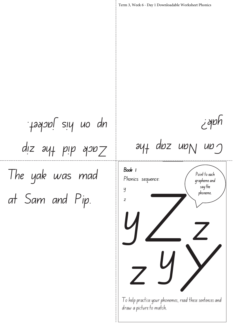The yak was mad at Sam and Pip.  $disc$  ant bib don  $Z$ up on his jacket.

yak?

 $ay_1$  doz up $_1$  up $_2$ 

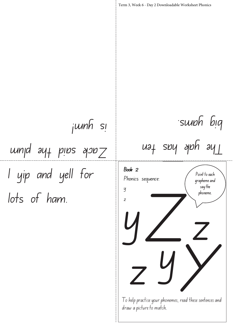I yip and yell for lots of ham. %%% %% %% #% Term 3, Week 6 - Day 2 Downloadable Worksheet Phonics Book 2 Phonics sequence: y z z yY Z z y The yak has ten big yams. Zack said the plum is yum!

I o help practise your phonemes, read these sentences and draw a picture to match. d these sentences and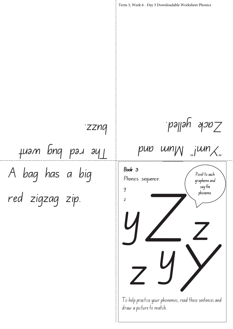A bag has a big red zigzag zip. say the Term 3, Week 6 - Day 3 Downloadable Worksheet Phonics Book 3 Phonics sequence: y z pub  $w_n$   $w_n$   $w_n$  $z$ ack yelled. Hram pud bug and <sup>-</sup>zznq